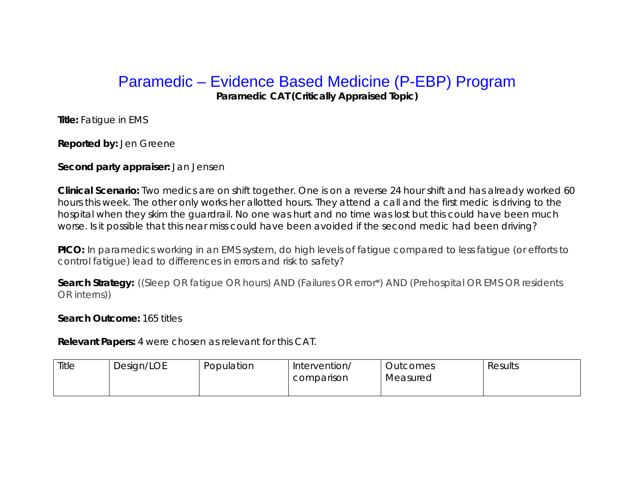## Paramedic – Evidence Based Medicine (P-EBP) Program

**Paramedic CAT (Critically Appraised Topic)** 

**Title:** Fatigue in EMS

**Reported by:** Jen Greene

## **Second party appraiser:** Jan Jensen

**Clinical Scenario:** Two medics are on shift together. One is on a reverse 24 hour shift and has already worked 60 hours this week. The other only works her allotted hours. They attend a call and the first medic is driving to the hospital when they skim the guardrail. No one was hurt and no time was lost but this could have been much worse. Is it possible that this near miss could have been avoided if the second medic had been driving?

**PICO:** In paramedics working in an EMS system, do high levels of fatigue compared to less fatigue (or efforts to control fatigue) lead to differences in errors and risk to safety?

**Search Strategy:** ((Sleep OR fatigue OR hours) AND (Failures OR error\*) AND (Prehospital OR EMS OR residents OR interns))

## **Search Outcome:** 165 titles

**Relevant Papers:** 4 were chosen as relevant for this CAT.

| Title | Design/LOE | Population | Intervention/ | <b>Outcomes</b> | Results |
|-------|------------|------------|---------------|-----------------|---------|
|       |            |            | comparison    | Measured        |         |
|       |            |            |               |                 |         |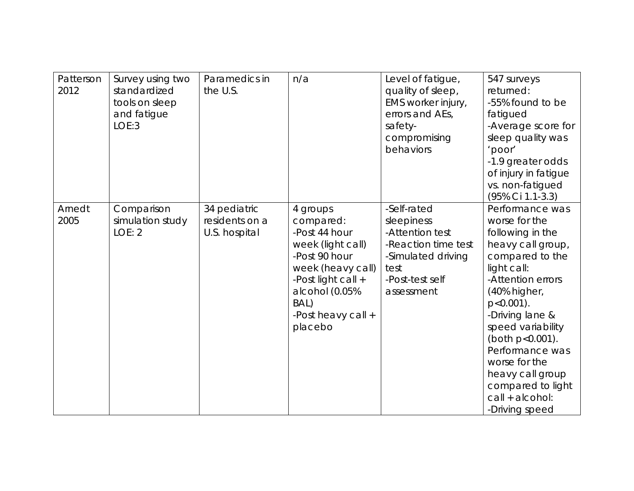| Patterson<br>2012 | Survey using two<br>standardized<br>tools on sleep<br>and fatigue<br>LOE:3 | Paramedics in<br>the U.S.                       | n/a                                                                                                                                                                                | Level of fatigue,<br>quality of sleep,<br>EMS worker injury,<br>errors and AEs,<br>safety-<br>compromising<br>behaviors            | 547 surveys<br>returned:<br>-55% found to be<br>fatigued<br>-Average score for<br>sleep quality was<br>'poor'<br>-1.9 greater odds<br>of injury in fatigue<br>vs. non-fatigued<br>(95% Ci 1.1-3.3)                                                                                                                                              |
|-------------------|----------------------------------------------------------------------------|-------------------------------------------------|------------------------------------------------------------------------------------------------------------------------------------------------------------------------------------|------------------------------------------------------------------------------------------------------------------------------------|-------------------------------------------------------------------------------------------------------------------------------------------------------------------------------------------------------------------------------------------------------------------------------------------------------------------------------------------------|
| Arnedt<br>2005    | Comparison<br>simulation study<br>LOE: 2                                   | 34 pediatric<br>residents on a<br>U.S. hospital | 4 groups<br>compared:<br>-Post 44 hour<br>week (light call)<br>-Post 90 hour<br>week (heavy call)<br>-Post light call +<br>alcohol (0.05%<br>BAL)<br>-Post heavy call +<br>placebo | -Self-rated<br>sleepiness<br>-Attention test<br>-Reaction time test<br>-Simulated driving<br>test<br>-Post-test self<br>assessment | Performance was<br>worse for the<br>following in the<br>heavy call group,<br>compared to the<br>light call:<br>-Attention errors<br>(40% higher,<br>$p < 0.001$ ).<br>-Driving lane &<br>speed variability<br>(both p<0.001).<br>Performance was<br>worse for the<br>heavy call group<br>compared to light<br>call + alcohol:<br>-Driving speed |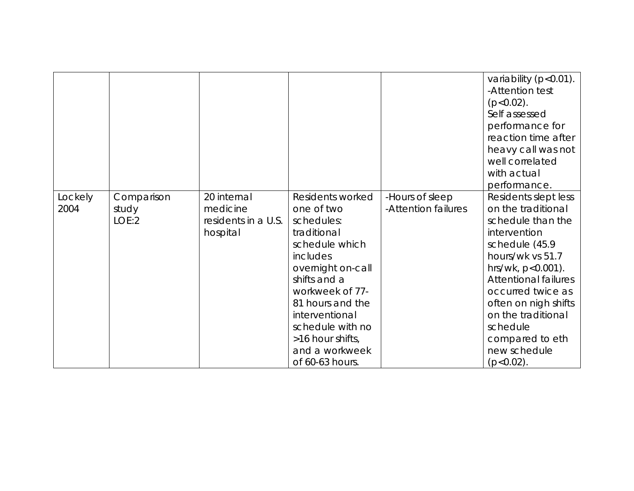|                 |                              |                                                            |                                                                                                                                                                                                                                                                      |                                        | variability (p<0.01).<br>-Attention test<br>$(p<0.02)$ .<br>Self assessed<br>performance for<br>reaction time after<br>heavy call was not<br>well correlated<br>with actual<br>performance.                                                                                                                      |
|-----------------|------------------------------|------------------------------------------------------------|----------------------------------------------------------------------------------------------------------------------------------------------------------------------------------------------------------------------------------------------------------------------|----------------------------------------|------------------------------------------------------------------------------------------------------------------------------------------------------------------------------------------------------------------------------------------------------------------------------------------------------------------|
| Lockely<br>2004 | Comparison<br>study<br>LOE:2 | 20 internal<br>medicine<br>residents in a U.S.<br>hospital | Residents worked<br>one of two<br>schedules:<br>traditional<br>schedule which<br>includes<br>overnight on-call<br>shifts and a<br>workweek of 77-<br>81 hours and the<br>interventional<br>schedule with no<br>>16 hour shifts,<br>and a workweek<br>of 60-63 hours. | -Hours of sleep<br>-Attention failures | Residents slept less<br>on the traditional<br>schedule than the<br>intervention<br>schedule (45.9<br>hours/wk vs 51.7<br>hrs/wk, $p < 0.001$ ).<br><b>Attentional failures</b><br>occurred twice as<br>often on nigh shifts<br>on the traditional<br>schedule<br>compared to eth<br>new schedule<br>$(p<0.02)$ . |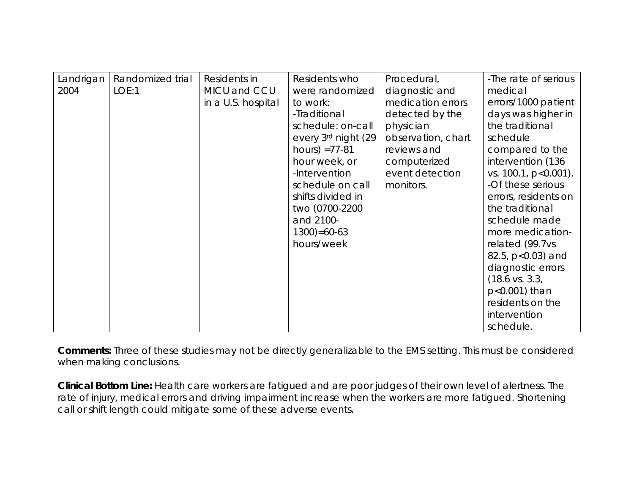| Landrigan | Randomized trial | Residents in       | Residents who       | Procedural,        | -The rate of serious      |
|-----------|------------------|--------------------|---------------------|--------------------|---------------------------|
| 2004      | LOE:1            | MICU and CCU       | were randomized     | diagnostic and     | medical                   |
|           |                  | in a U.S. hospital | to work:            | medication errors  | errors/1000 patient       |
|           |                  |                    | -Traditional        | detected by the    | days was higher in        |
|           |                  |                    | schedule: on-call   | physician          | the traditional           |
|           |                  |                    | every 3rd night (29 | observation, chart | schedule                  |
|           |                  |                    | hours) $=77-81$     | reviews and        | compared to the           |
|           |                  |                    | hour week, or       | computerized       | intervention (136         |
|           |                  |                    | -Intervention       | event detection    | vs. 100.1, p<0.001).      |
|           |                  |                    | schedule on call    | monitors.          | -Of these serious         |
|           |                  |                    | shifts divided in   |                    | errors, residents on      |
|           |                  |                    | two (0700-2200      |                    | the traditional           |
|           |                  |                    | and 2100-           |                    | schedule made             |
|           |                  |                    | $1300 = 60 - 63$    |                    | more medication-          |
|           |                  |                    | hours/week          |                    | related (99.7vs           |
|           |                  |                    |                     |                    | 82.5, $p<0.03$ ) and      |
|           |                  |                    |                     |                    | diagnostic errors         |
|           |                  |                    |                     |                    | $(18.6 \text{ vs. } 3.3,$ |
|           |                  |                    |                     |                    | $p<0.001$ ) than          |
|           |                  |                    |                     |                    | residents on the          |
|           |                  |                    |                     |                    | intervention              |
|           |                  |                    |                     |                    | schedule.                 |

**Comments:** Three of these studies may not be directly generalizable to the EMS setting. This must be considered when making conclusions.

**Clinical Bottom Line:** Health care workers are fatigued and are poor judges of their own level of alertness. The rate of injury, medical errors and driving impairment increase when the workers are more fatigued. Shortening call or shift length could mitigate some of these adverse events.